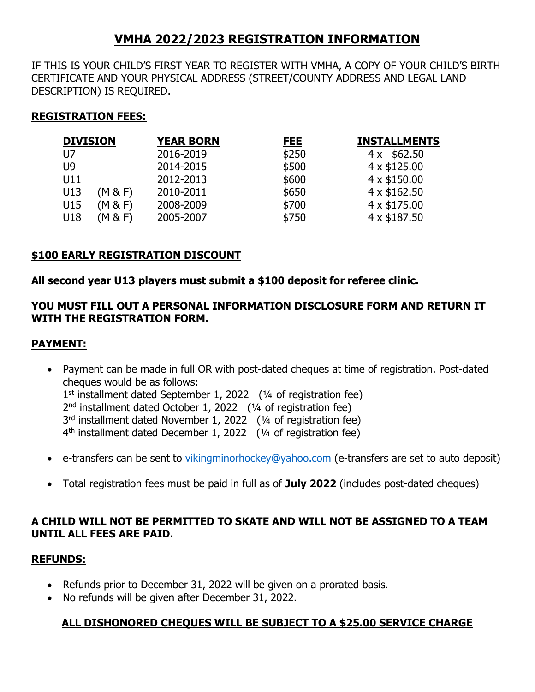# **VMHA 2022/2023 REGISTRATION INFORMATION**

IF THIS IS YOUR CHILD'S FIRST YEAR TO REGISTER WITH VMHA, A COPY OF YOUR CHILD'S BIRTH CERTIFICATE AND YOUR PHYSICAL ADDRESS (STREET/COUNTY ADDRESS AND LEGAL LAND DESCRIPTION) IS REQUIRED.

## **REGISTRATION FEES:**

| <b>DIVISION</b> |         | <b>YEAR BORN</b> | <u>FEE</u> | <b>INSTALLMENTS</b> |
|-----------------|---------|------------------|------------|---------------------|
| U7              |         | 2016-2019        | \$250      | $4 \times $62.50$   |
| U9              |         | 2014-2015        | \$500      | $4 \times $125.00$  |
| U11             |         | 2012-2013        | \$600      | $4 \times $150.00$  |
| U13             | (M & F) | 2010-2011        | \$650      | 4 x \$162.50        |
| U15             | (M & F) | 2008-2009        | \$700      | 4 x \$175.00        |
| U18             | (M & F) | 2005-2007        | \$750      | 4 x \$187.50        |

## **\$100 EARLY REGISTRATION DISCOUNT**

### **All second year U13 players must submit a \$100 deposit for referee clinic.**

### **YOU MUST FILL OUT A PERSONAL INFORMATION DISCLOSURE FORM AND RETURN IT WITH THE REGISTRATION FORM.**

#### **PAYMENT:**

- Payment can be made in full OR with post-dated cheques at time of registration. Post-dated cheques would be as follows: 1<sup>st</sup> installment dated September 1, 2022 (1/4 of registration fee) 2 nd installment dated October 1, 2022 (¼ of registration fee) 3<sup>rd</sup> installment dated November 1, 2022 (1/4 of registration fee) 4 th installment dated December 1, 2022 (¼ of registration fee)
- e-transfers can be sent to [vikingminorhockey@yahoo.com](mailto:vikingminorhockey@yahoo.com) (e-transfers are set to auto deposit)
- Total registration fees must be paid in full as of **July 2022** (includes post-dated cheques)

### **A CHILD WILL NOT BE PERMITTED TO SKATE AND WILL NOT BE ASSIGNED TO A TEAM UNTIL ALL FEES ARE PAID.**

#### **REFUNDS:**

- Refunds prior to December 31, 2022 will be given on a prorated basis.
- No refunds will be given after December 31, 2022.

### **ALL DISHONORED CHEQUES WILL BE SUBJECT TO A \$25.00 SERVICE CHARGE**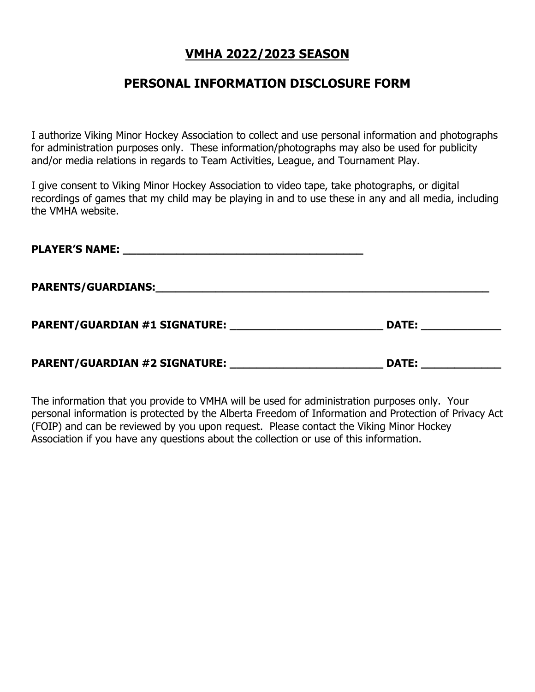## **VMHA 2022/2023 SEASON**

# **PERSONAL INFORMATION DISCLOSURE FORM**

I authorize Viking Minor Hockey Association to collect and use personal information and photographs for administration purposes only. These information/photographs may also be used for publicity and/or media relations in regards to Team Activities, League, and Tournament Play.

I give consent to Viking Minor Hockey Association to video tape, take photographs, or digital recordings of games that my child may be playing in and to use these in any and all media, including the VMHA website.

| <b>PLAYER'S NAME:</b><br><u> 1980 - Jan Berlin, margaret amerikan beste beste beste beste beste beste beste beste beste beste beste beste</u>      |              |
|----------------------------------------------------------------------------------------------------------------------------------------------------|--------------|
| <b>PARENTS/GUARDIANS:</b><br><u> 1989 - Johann Stoff, deutscher Stoff, der Stoff, der Stoff, der Stoff, der Stoff, der Stoff, der Stoff, der S</u> |              |
| <b>PARENT/GUARDIAN #1 SIGNATURE:</b>                                                                                                               | <b>DATE:</b> |
| PARENT/GUARDIAN #2 SIGNATURE:                                                                                                                      | <b>DATE:</b> |

The information that you provide to VMHA will be used for administration purposes only. Your personal information is protected by the Alberta Freedom of Information and Protection of Privacy Act (FOIP) and can be reviewed by you upon request. Please contact the Viking Minor Hockey Association if you have any questions about the collection or use of this information.